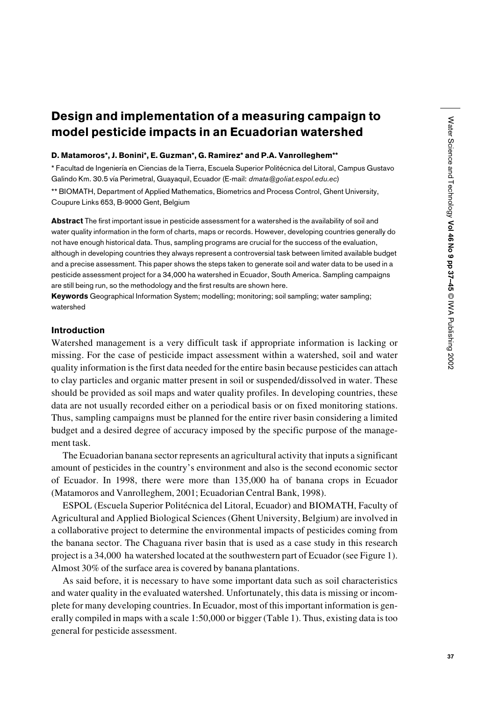# Design and implementation of a measuring campaign to model pesticide impacts in an Ecuadorian watershed

#### D. Matamoros\*, J. Bonini\*, E. Guzman\*, G. Ramirez\* and P.A. Vanrolleghem\*\*

\* Facultad de Ingeniería en Ciencias de la Tierra, Escuela Superior Politécnica del Litoral, Campus Gustavo Galindo Km. 30.5 vía Perimetral, Guayaquil, Ecuador (E-mail: *dmata@goliat.espol.edu.ec*) \*\* BIOMATH, Department of Applied Mathematics, Biometrics and Process Control, Ghent University,

Coupure Links 653, B-9000 Gent, Belgium

Abstract The first important issue in pesticide assessment for a watershed is the availability of soil and water quality information in the form of charts, maps or records. However, developing countries generally do not have enough historical data. Thus, sampling programs are crucial for the success of the evaluation, although in developing countries they always represent a controversial task between limited available budget and a precise assessment. This paper shows the steps taken to generate soil and water data to be used in a pesticide assessment project for a 34,000 ha watershed in Ecuador, South America. Sampling campaigns are still being run, so the methodology and the first results are shown here.

Keywords Geographical Information System; modelling; monitoring; soil sampling; water sampling; watershed

## Introduction

Watershed management is a very difficult task if appropriate information is lacking or missing. For the case of pesticide impact assessment within a watershed, soil and water quality information is the first data needed for the entire basin because pesticides can attach to clay particles and organic matter present in soil or suspended/dissolved in water. These should be provided as soil maps and water quality profiles. In developing countries, these data are not usually recorded either on a periodical basis or on fixed monitoring stations. Thus, sampling campaigns must be planned for the entire river basin considering a limited budget and a desired degree of accuracy imposed by the specific purpose of the management task.

The Ecuadorian banana sector represents an agricultural activity that inputs a significant amount of pesticides in the country's environment and also is the second economic sector of Ecuador. In 1998, there were more than 135,000 ha of banana crops in Ecuador (Matamoros and Vanrolleghem, 2001; Ecuadorian Central Bank, 1998).

ESPOL (Escuela Superior Politécnica del Litoral, Ecuador) and BIOMATH, Faculty of Agricultural and Applied Biological Sciences (Ghent University, Belgium) are involved in a collaborative project to determine the environmental impacts of pesticides coming from the banana sector. The Chaguana river basin that is used as a case study in this research project is a 34,000 ha watershed located at the southwestern part of Ecuador (see Figure 1). Almost 30% of the surface area is covered by banana plantations.

As said before, it is necessary to have some important data such as soil characteristics and water quality in the evaluated watershed. Unfortunately, this data is missing or incomplete for many developing countries. In Ecuador, most of this important information is generally compiled in maps with a scale 1:50,000 or bigger (Table 1). Thus, existing data is too general for pesticide assessment.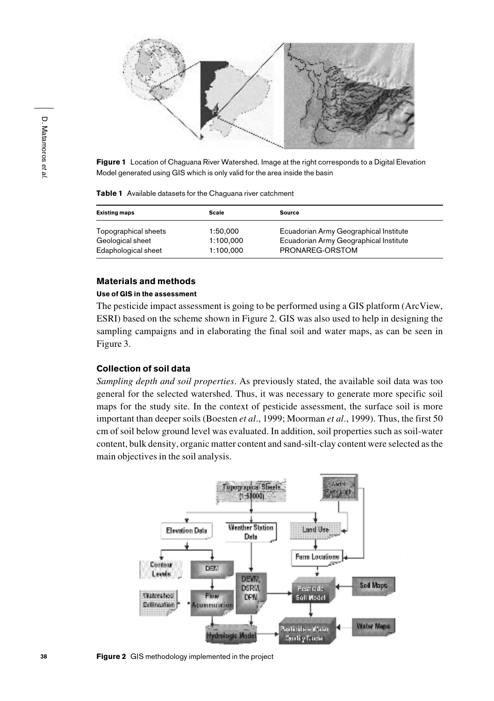

Figure 1 Location of Chaguana River Watershed. Image at the right corresponds to a Digital Elevation Model generated using GIS which is only valid for the area inside the basin

Table 1 Available datasets for the Chaguana river catchment

| <b>Existing maps</b> | Scale     | Source                                 |
|----------------------|-----------|----------------------------------------|
| Topographical sheets | 1:50.000  | Ecuadorian Army Geographical Institute |
| Geological sheet     | 1:100,000 | Ecuadorian Army Geographical Institute |
| Edaphological sheet  | 1:100,000 | PRONAREG-ORSTOM                        |

## Materials and methods

### Use of GIS in the assessment

The pesticide impact assessment is going to be performed using a GIS platform (ArcView, ESRI) based on the scheme shown in Figure 2. GIS was also used to help in designing the sampling campaigns and in elaborating the final soil and water maps, as can be seen in Figure 3.

## Collection of soil data

*Sampling depth and soil properties*. As previously stated, the available soil data was too general for the selected watershed. Thus, it was necessary to generate more specific soil maps for the study site. In the context of pesticide assessment, the surface soil is more important than deeper soils (Boesten *et al*., 1999; Moorman *et al*., 1999). Thus, the first 50 cm of soil below ground level was evaluated. In addition, soil properties such as soil-water content, bulk density, organic matter content and sand-silt-clay content were selected as the main objectives in the soil analysis.

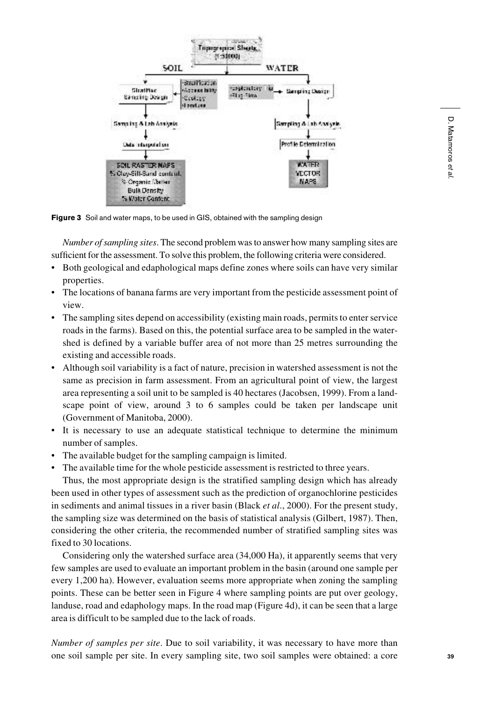

Figure 3 Soil and water maps, to be used in GIS, obtained with the sampling design

*Number of sampling sites*. The second problem was to answer how many sampling sites are sufficient for the assessment. To solve this problem, the following criteria were considered.

- Both geological and edaphological maps define zones where soils can have very similar properties.
- The locations of banana farms are very important from the pesticide assessment point of view.
- The sampling sites depend on accessibility (existing main roads, permits to enter service roads in the farms). Based on this, the potential surface area to be sampled in the watershed is defined by a variable buffer area of not more than 25 metres surrounding the existing and accessible roads.
- Although soil variability is a fact of nature, precision in watershed assessment is not the same as precision in farm assessment. From an agricultural point of view, the largest area representing a soil unit to be sampled is 40 hectares (Jacobsen, 1999). From a landscape point of view, around 3 to 6 samples could be taken per landscape unit (Government of Manitoba, 2000).
- It is necessary to use an adequate statistical technique to determine the minimum number of samples.
- The available budget for the sampling campaign is limited.
- The available time for the whole pesticide assessment is restricted to three years.

Thus, the most appropriate design is the stratified sampling design which has already been used in other types of assessment such as the prediction of organochlorine pesticides in sediments and animal tissues in a river basin (Black *et al*., 2000). For the present study, the sampling size was determined on the basis of statistical analysis (Gilbert, 1987). Then, considering the other criteria, the recommended number of stratified sampling sites was fixed to 30 locations.

Considering only the watershed surface area (34,000 Ha), it apparently seems that very few samples are used to evaluate an important problem in the basin (around one sample per every 1,200 ha). However, evaluation seems more appropriate when zoning the sampling points. These can be better seen in Figure 4 where sampling points are put over geology, landuse, road and edaphology maps. In the road map (Figure 4d), it can be seen that a large area is difficult to be sampled due to the lack of roads.

*Number of samples per site*. Due to soil variability, it was necessary to have more than one soil sample per site. In every sampling site, two soil samples were obtained: a core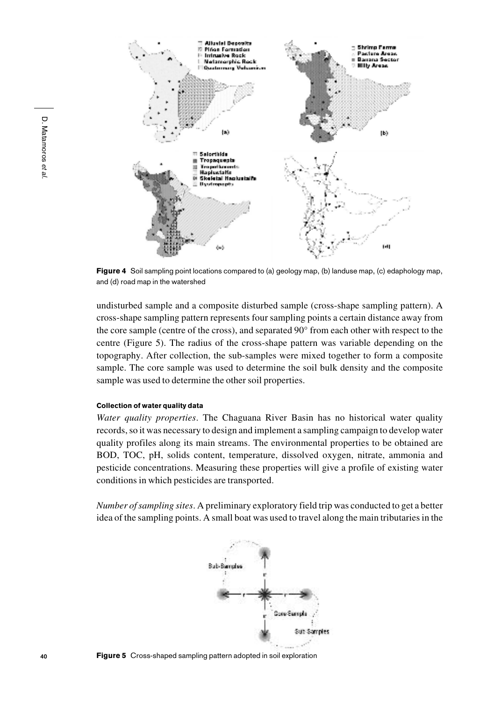

Figure 4 Soil sampling point locations compared to (a) geology map, (b) landuse map, (c) edaphology map, and (d) road map in the watershed

undisturbed sample and a composite disturbed sample (cross-shape sampling pattern). A cross-shape sampling pattern represents four sampling points a certain distance away from the core sample (centre of the cross), and separated 90° from each other with respect to the centre (Figure 5). The radius of the cross-shape pattern was variable depending on the topography. After collection, the sub-samples were mixed together to form a composite sample. The core sample was used to determine the soil bulk density and the composite sample was used to determine the other soil properties.

#### Collection of water quality data

*Water quality properties*. The Chaguana River Basin has no historical water quality records, so it was necessary to design and implement a sampling campaign to develop water quality profiles along its main streams. The environmental properties to be obtained are BOD, TOC, pH, solids content, temperature, dissolved oxygen, nitrate, ammonia and pesticide concentrations. Measuring these properties will give a profile of existing water conditions in which pesticides are transported.

*Number of sampling sites*. A preliminary exploratory field trip was conducted to get a better idea of the sampling points. A small boat was used to travel along the main tributaries in the

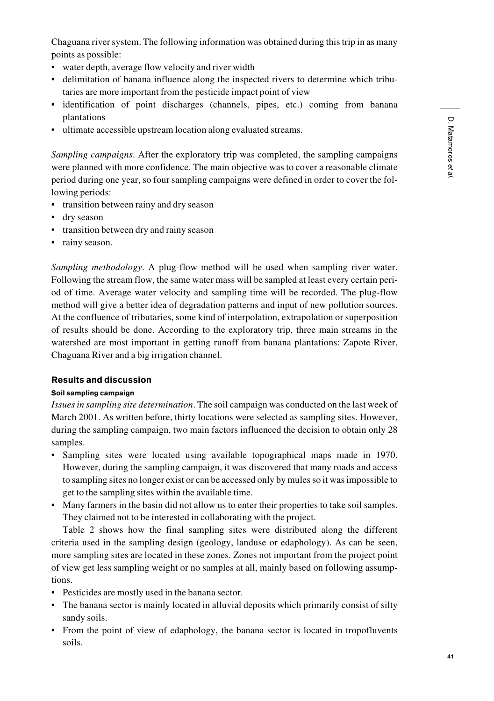Chaguana river system. The following information was obtained during this trip in as many points as possible:

- water depth, average flow velocity and river width
- delimitation of banana influence along the inspected rivers to determine which tributaries are more important from the pesticide impact point of view
- identification of point discharges (channels, pipes, etc.) coming from banana plantations
- ultimate accessible upstream location along evaluated streams.

*Sampling campaigns*. After the exploratory trip was completed, the sampling campaigns were planned with more confidence. The main objective was to cover a reasonable climate period during one year, so four sampling campaigns were defined in order to cover the following periods:

- transition between rainy and dry season
- dry season
- transition between dry and rainy season
- rainy season.

*Sampling methodology*. A plug-flow method will be used when sampling river water. Following the stream flow, the same water mass will be sampled at least every certain period of time. Average water velocity and sampling time will be recorded. The plug-flow method will give a better idea of degradation patterns and input of new pollution sources. At the confluence of tributaries, some kind of interpolation, extrapolation or superposition of results should be done. According to the exploratory trip, three main streams in the watershed are most important in getting runoff from banana plantations: Zapote River, Chaguana River and a big irrigation channel.

## Results and discussion

#### Soil sampling campaign

*Issues in sampling site determination*. The soil campaign was conducted on the last week of March 2001. As written before, thirty locations were selected as sampling sites. However, during the sampling campaign, two main factors influenced the decision to obtain only 28 samples.

- Sampling sites were located using available topographical maps made in 1970. However, during the sampling campaign, it was discovered that many roads and access to sampling sites no longer exist or can be accessed only by mules so it was impossible to get to the sampling sites within the available time.
- Many farmers in the basin did not allow us to enter their properties to take soil samples. They claimed not to be interested in collaborating with the project.

Table 2 shows how the final sampling sites were distributed along the different criteria used in the sampling design (geology, landuse or edaphology). As can be seen, more sampling sites are located in these zones. Zones not important from the project point of view get less sampling weight or no samples at all, mainly based on following assumptions.

- Pesticides are mostly used in the banana sector.
- The banana sector is mainly located in alluvial deposits which primarily consist of silty sandy soils.
- From the point of view of edaphology, the banana sector is located in tropofluvents soils.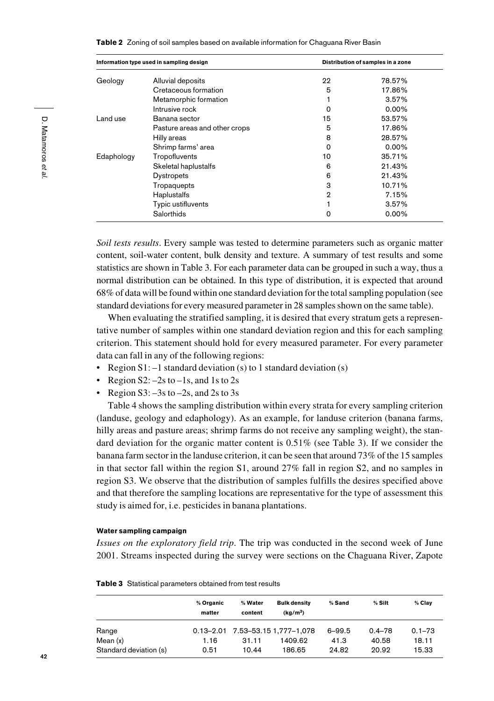|  | Table 2 Zoning of soil samples based on available information for Chaguana River Basin |  |
|--|----------------------------------------------------------------------------------------|--|
|  |                                                                                        |  |

| Information type used in sampling design |                               |    | Distribution of samples in a zone |  |  |
|------------------------------------------|-------------------------------|----|-----------------------------------|--|--|
| Geology                                  | Alluvial deposits             | 22 | 78.57%                            |  |  |
|                                          | Cretaceous formation          | 5  | 17.86%                            |  |  |
|                                          | Metamorphic formation         |    | 3.57%                             |  |  |
|                                          | Intrusive rock                | 0  | $0.00\%$                          |  |  |
| Land use                                 | Banana sector                 | 15 | 53.57%                            |  |  |
|                                          | Pasture areas and other crops | 5  | 17.86%                            |  |  |
|                                          | Hilly areas                   | 8  | 28.57%                            |  |  |
|                                          | Shrimp farms' area            | 0  | $0.00\%$                          |  |  |
| Edaphology                               | Tropofluvents                 | 10 | 35.71%                            |  |  |
|                                          | Skeletal haplustalfs          | 6  | 21.43%                            |  |  |
|                                          | <b>Dystropets</b>             | 6  | 21.43%                            |  |  |
|                                          | Tropaquepts                   | 3  | 10.71%                            |  |  |
|                                          | Haplustalfs                   | 2  | 7.15%                             |  |  |
|                                          | Typic ustifluvents            |    | 3.57%                             |  |  |
|                                          | Salorthids                    | 0  | $0.00\%$                          |  |  |

*Soil tests results*. Every sample was tested to determine parameters such as organic matter content, soil-water content, bulk density and texture. A summary of test results and some statistics are shown in Table 3. For each parameter data can be grouped in such a way, thus a normal distribution can be obtained. In this type of distribution, it is expected that around 68% of data will be found within one standard deviation for the total sampling population (see standard deviations for every measured parameter in 28 samples shown on the same table).

When evaluating the stratified sampling, it is desired that every stratum gets a representative number of samples within one standard deviation region and this for each sampling criterion. This statement should hold for every measured parameter. For every parameter data can fall in any of the following regions:

- Region  $S1$ :  $-1$  standard deviation (s) to 1 standard deviation (s)
- Region  $S2: -2s$  to  $-1s$ , and 1s to 2s
- Region  $S3: -3s$  to  $-2s$ , and  $2s$  to  $3s$

Table 4 shows the sampling distribution within every strata for every sampling criterion (landuse, geology and edaphology). As an example, for landuse criterion (banana farms, hilly areas and pasture areas; shrimp farms do not receive any sampling weight), the standard deviation for the organic matter content is 0.51% (see Table 3). If we consider the banana farm sector in the landuse criterion, it can be seen that around 73% of the 15 samples in that sector fall within the region S1, around 27% fall in region S2, and no samples in region S3. We observe that the distribution of samples fulfills the desires specified above and that therefore the sampling locations are representative for the type of assessment this study is aimed for, i.e. pesticides in banana plantations.

#### Water sampling campaign

*Issues on the exploratory field trip*. The trip was conducted in the second week of June 2001. Streams inspected during the survey were sections on the Chaguana River, Zapote

|                        | % Organic<br>matter | % Water<br>content | <b>Bulk density</b><br>(kq/m <sup>3</sup> ) | $%$ Sand   | % Silt     | % Clav     |
|------------------------|---------------------|--------------------|---------------------------------------------|------------|------------|------------|
| Range                  |                     |                    | 0.13-2.01 7.53-53.15 1,777-1,078            | $6 - 99.5$ | $0.4 - 78$ | $0.1 - 73$ |
| Mean $(x)$             | 1.16                | 31.11              | 1409.62                                     | 41.3       | 40.58      | 18.11      |
| Standard deviation (s) | 0.51                | 10.44              | 186.65                                      | 24.82      | 20.92      | 15.33      |

Table 3 Statistical parameters obtained from test results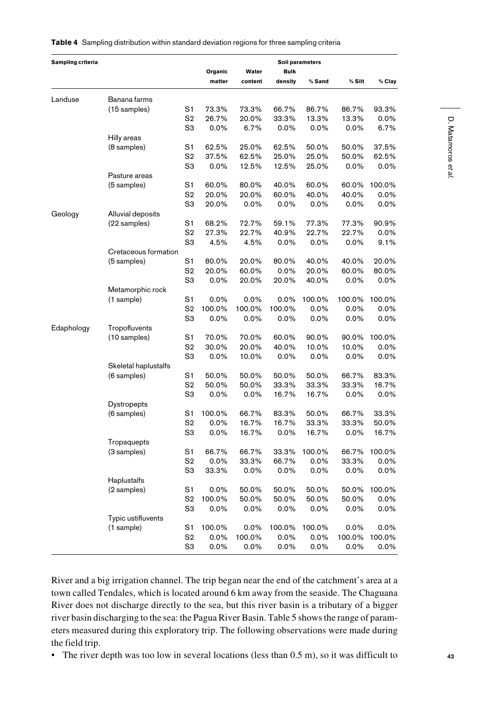Table 4 Sampling distribution within standard deviation regions for three sampling criteria

| Sampling criteria |                      |                | Soil parameters |         |             |         |         |         |
|-------------------|----------------------|----------------|-----------------|---------|-------------|---------|---------|---------|
|                   |                      |                | Organic         | Water   | <b>Bulk</b> |         |         |         |
|                   |                      |                | matter          | content | density     | % Sand  | % Silt  | % Clay  |
| Landuse           | Banana farms         |                |                 |         |             |         |         |         |
|                   | (15 samples)         | S <sub>1</sub> | 73.3%           | 73.3%   | 66.7%       | 86.7%   | 86.7%   | 93.3%   |
|                   |                      | S2             | 26.7%           | 20.0%   | 33.3%       | 13.3%   | 13.3%   | $0.0\%$ |
|                   |                      | S3             | 0.0%            | 6.7%    | 0.0%        | 0.0%    | $0.0\%$ | 6.7%    |
|                   | Hilly areas          |                |                 |         |             |         |         |         |
|                   | (8 samples)          | S <sub>1</sub> | 62.5%           | 25.0%   | 62.5%       | 50.0%   | 50.0%   | 37.5%   |
|                   |                      | S2             | 37.5%           | 62.5%   | 25.0%       | 25.0%   | 50.0%   | 62.5%   |
|                   |                      | S3             | 0.0%            | 12.5%   | 12.5%       | 25.0%   | $0.0\%$ | $0.0\%$ |
|                   | Pasture areas        |                |                 |         |             |         |         |         |
|                   | (5 samples)          | S1             | 60.0%           | 80.0%   | 40.0%       | 60.0%   | 60.0%   | 100.0%  |
|                   |                      | S <sub>2</sub> | 20.0%           | 20.0%   | 60.0%       | 40.0%   | 40.0%   | $0.0\%$ |
|                   |                      | S3             | 20.0%           | 0.0%    | $0.0\%$     | 0.0%    | $0.0\%$ | $0.0\%$ |
| Geology           | Alluvial deposits    |                |                 |         |             |         |         |         |
|                   | (22 samples)         | S <sub>1</sub> | 68.2%           | 72.7%   | 59.1%       | 77.3%   | 77.3%   | 90.9%   |
|                   |                      | S <sub>2</sub> | 27.3%           | 22.7%   | 40.9%       | 22.7%   | 22.7%   | 0.0%    |
|                   |                      | S3             | 4.5%            | 4.5%    | $0.0\%$     | 0.0%    | $0.0\%$ | 9.1%    |
|                   | Cretaceous formation |                |                 |         |             |         |         |         |
|                   | (5 samples)          | S1             | 80.0%           | 20.0%   | 80.0%       | 40.0%   | 40.0%   | 20.0%   |
|                   |                      | S2             | 20.0%           | 60.0%   | $0.0\%$     | 20.0%   | 60.0%   | 80.0%   |
|                   |                      | S3             | 0.0%            | 20.0%   | 20.0%       | 40.0%   | 0.0%    | 0.0%    |
|                   | Metamorphic rock     |                |                 |         |             |         |         |         |
|                   | (1 sample)           | S <sub>1</sub> | 0.0%            | 0.0%    | 0.0%        | 100.0%  | 100.0%  | 100.0%  |
|                   |                      | S <sub>2</sub> | 100.0%          | 100.0%  | 100.0%      | 0.0%    | 0.0%    | 0.0%    |
|                   |                      | S3             | 0.0%            | 0.0%    | 0.0%        | 0.0%    | 0.0%    | 0.0%    |
| Edaphology        | Tropofluvents        |                |                 |         |             |         |         |         |
|                   | (10 samples)         | S <sub>1</sub> | 70.0%           | 70.0%   | 60.0%       | 90.0%   | 90.0%   | 100.0%  |
|                   |                      | S <sub>2</sub> | 30.0%           | 20.0%   | 40.0%       | 10.0%   | 10.0%   | 0.0%    |
|                   |                      | S3             | 0.0%            | 10.0%   | 0.0%        | 0.0%    | $0.0\%$ | $0.0\%$ |
|                   | Skeletal haplustalfs |                |                 |         |             |         |         |         |
|                   | (6 samples)          | S <sub>1</sub> | 50.0%           | 50.0%   | 50.0%       | 50.0%   | 66.7%   | 83.3%   |
|                   |                      | S2             | 50.0%           | 50.0%   | 33.3%       | 33.3%   | 33.3%   | 16.7%   |
|                   |                      | S3             | $0.0\%$         | 0.0%    | 16.7%       | 16.7%   | $0.0\%$ | 0.0%    |
|                   | Dystropepts          |                |                 |         |             |         |         |         |
|                   | (6 samples)          | S1             | 100.0%          | 66.7%   | 83.3%       | 50.0%   | 66.7%   | 33.3%   |
|                   |                      | S <sub>2</sub> | 0.0%            | 16.7%   | 16.7%       | 33.3%   | 33.3%   | 50.0%   |
|                   |                      | S3             | 0.0%            | 16.7%   | 0.0%        | 16.7%   | $0.0\%$ | 16.7%   |
|                   | Tropaquepts          |                |                 |         |             |         |         |         |
|                   | (3 samples)          | S1             | 66.7%           | 66.7%   | 33.3%       | 100.0%  | 66.7%   | 100.0%  |
|                   |                      | S <sub>2</sub> | 0.0%            | 33.3%   | 66.7%       | 0.0%    | 33.3%   | 0.0%    |
|                   |                      | S3             | 33.3%           | 0.0%    | 0.0%        | 0.0%    | $0.0\%$ | $0.0\%$ |
|                   | Haplustalfs          |                |                 |         |             |         |         |         |
|                   | (2 samples)          | S1             | $0.0\%$         | 50.0%   | 50.0%       | 50.0%   | 50.0%   | 100.0%  |
|                   |                      | S <sub>2</sub> | 100.0%          | 50.0%   | 50.0%       | 50.0%   | 50.0%   | $0.0\%$ |
|                   |                      | S3             | $0.0\%$         | $0.0\%$ | $0.0\%$     | $0.0\%$ | 0.0%    | $0.0\%$ |
|                   | Typic ustifluvents   |                |                 |         |             |         |         |         |
|                   | (1 sample)           | S1             | 100.0%          | 0.0%    | 100.0%      | 100.0%  | $0.0\%$ | $0.0\%$ |
|                   |                      | S2             | 0.0%            | 100.0%  | 0.0%        | 0.0%    | 100.0%  | 100.0%  |
|                   |                      | S <sub>3</sub> | 0.0%            | 0.0%    | 0.0%        | 0.0%    | 0.0%    | $0.0\%$ |

River and a big irrigation channel. The trip began near the end of the catchment's area at a town called Tendales, which is located around 6 km away from the seaside. The Chaguana River does not discharge directly to the sea, but this river basin is a tributary of a bigger river basin discharging to the sea: the Pagua River Basin. Table 5 shows the range of parameters measured during this exploratory trip. The following observations were made during the field trip.

• The river depth was too low in several locations (less than 0.5 m), so it was difficult to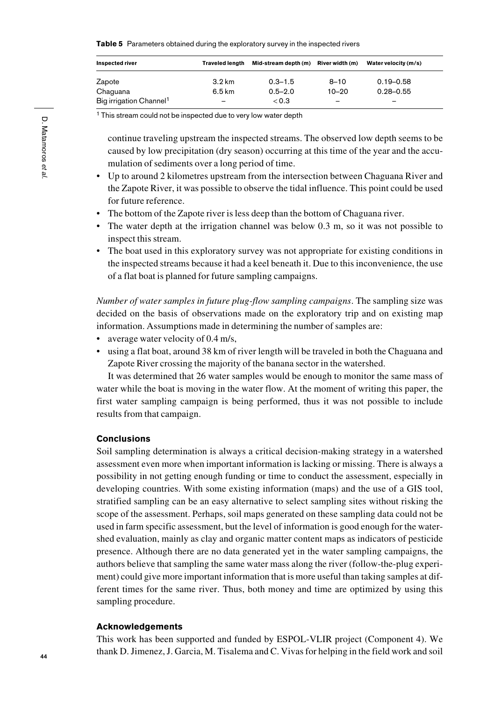Table 5 Parameters obtained during the exploratory survey in the inspected rivers

| Inspected river                     | <b>Traveled length</b> | Mid-stream depth (m) | River width (m)          | Water velocity (m/s)     |
|-------------------------------------|------------------------|----------------------|--------------------------|--------------------------|
| Zapote                              | $3.2 \text{ km}$       | $0.3 - 1.5$          | $8 - 10$                 | $0.19 - 0.58$            |
| Chaguana                            | 6.5 km                 | $0.5 - 2.0$          | $10 - 20$                | $0.28 - 0.55$            |
| Big irrigation Channel <sup>1</sup> | $\equiv$               | < 0.3                | $\overline{\phantom{a}}$ | $\overline{\phantom{0}}$ |

<sup>1</sup> This stream could not be inspected due to very low water depth

continue traveling upstream the inspected streams. The observed low depth seems to be caused by low precipitation (dry season) occurring at this time of the year and the accumulation of sediments over a long period of time.

- Up to around 2 kilometres upstream from the intersection between Chaguana River and the Zapote River, it was possible to observe the tidal influence. This point could be used for future reference.
- The bottom of the Zapote river is less deep than the bottom of Chaguana river.
- The water depth at the irrigation channel was below 0.3 m, so it was not possible to inspect this stream.
- The boat used in this exploratory survey was not appropriate for existing conditions in the inspected streams because it had a keel beneath it. Due to this inconvenience, the use of a flat boat is planned for future sampling campaigns.

*Number of water samples in future plug-flow sampling campaigns*. The sampling size was decided on the basis of observations made on the exploratory trip and on existing map information. Assumptions made in determining the number of samples are:

- average water velocity of 0.4 m/s,
- using a flat boat, around 38 km of river length will be traveled in both the Chaguana and Zapote River crossing the majority of the banana sector in the watershed.

It was determined that 26 water samples would be enough to monitor the same mass of water while the boat is moving in the water flow. At the moment of writing this paper, the first water sampling campaign is being performed, thus it was not possible to include results from that campaign.

## **Conclusions**

Soil sampling determination is always a critical decision-making strategy in a watershed assessment even more when important information is lacking or missing. There is always a possibility in not getting enough funding or time to conduct the assessment, especially in developing countries. With some existing information (maps) and the use of a GIS tool, stratified sampling can be an easy alternative to select sampling sites without risking the scope of the assessment. Perhaps, soil maps generated on these sampling data could not be used in farm specific assessment, but the level of information is good enough for the watershed evaluation, mainly as clay and organic matter content maps as indicators of pesticide presence. Although there are no data generated yet in the water sampling campaigns, the authors believe that sampling the same water mass along the river (follow-the-plug experiment) could give more important information that is more useful than taking samples at different times for the same river. Thus, both money and time are optimized by using this sampling procedure.

## Acknowledgements

This work has been supported and funded by ESPOL-VLIR project (Component 4). We thank D. Jimenez, J. Garcia, M. Tisalema and C. Vivas for helping in the field work and soil